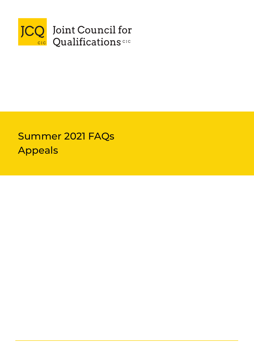

# Instructions for conducting examinations Summer 2021 FAQs Appeals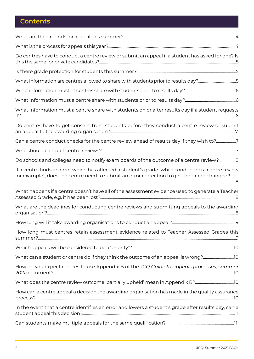# **Contents**

| Do centres have to conduct a centre review or submit an appeal if a student has asked for one? Is                                                                                               |  |
|-------------------------------------------------------------------------------------------------------------------------------------------------------------------------------------------------|--|
|                                                                                                                                                                                                 |  |
| What information are centres allowed to share with students prior to results day?5                                                                                                              |  |
|                                                                                                                                                                                                 |  |
|                                                                                                                                                                                                 |  |
| What information must a centre share with students on or after results day if a student requests                                                                                                |  |
| Do centres have to get consent from students before they conduct a centre review or submit                                                                                                      |  |
| Can a centre conduct checks for the centre review ahead of results day if they wish to?7                                                                                                        |  |
|                                                                                                                                                                                                 |  |
| Do schools and colleges need to notify exam boards of the outcome of a centre review? 8                                                                                                         |  |
| If a centre finds an error which has affected a student's grade (while conducting a centre review<br>for example), does the centre need to submit an error correction to get the grade changed? |  |
| What happens if a centre doesn't have all of the assessment evidence used to generate a Teacher                                                                                                 |  |
| What are the deadlines for conducting centre reviews and submitting appeals to the awarding                                                                                                     |  |
| .9                                                                                                                                                                                              |  |
| How long must centres retain assessment evidence related to Teacher Assessed Grades this                                                                                                        |  |
|                                                                                                                                                                                                 |  |
| What can a student or centre do if they think the outcome of an appeal is wrong?                                                                                                                |  |
| How do you expect centres to use Appendix B of the JCQ Guide to appeals processes, summer                                                                                                       |  |
|                                                                                                                                                                                                 |  |
| How can a centre appeal a decision the awarding organisation has made in the quality assurance                                                                                                  |  |
|                                                                                                                                                                                                 |  |
| In the event that a centre identifies an error and lowers a student's grade after results day, can a                                                                                            |  |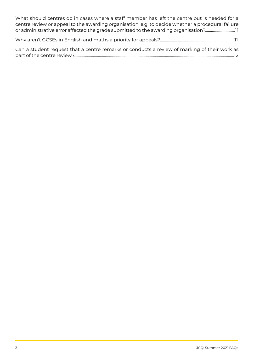[What should centres do in cases where a staff member has left the centre but is needed for a](#page-10-0) [centre review or appeal to the awarding organisation, e.g. to decide whether a procedural failure](#page-10-0) [or administrative error affected the grade submitted to the awarding organisation?...............................1](#page-10-0)1

[Why aren't GCSEs in English and maths a priority for appeals?...........................................................................11](#page-10-0)

[Can a student request that a centre remarks or conducts a review of marking of their work as](#page-11-0) [part of the centre review?..................................................................................................................................................................1](#page-11-0)2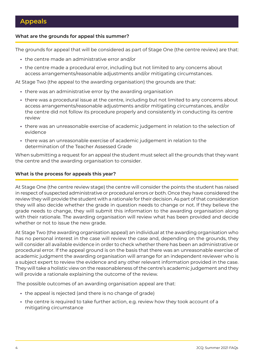# <span id="page-3-0"></span>**What are the grounds for appeal this summer?**

The grounds for appeal that will be considered as part of Stage One (the centre review) are that:

- **•** the centre made an administrative error and/or
- **•** the centre made a procedural error, including but not limited to any concerns about access arrangements/reasonable adjustments and/or mitigating circumstances.

At Stage Two (the appeal to the awarding organisation) the grounds are that:

- **•** there was an administrative error by the awarding organisation
- **•** there was a procedural issue at the centre, including but not limited to any concerns about access arrangements/reasonable adjustments and/or mitigating circumstances, and/or the centre did not follow its procedure properly and consistently in conducting its centre review
- **•** there was an unreasonable exercise of academic judgement in relation to the selection of evidence
- **•** there was an unreasonable exercise of academic judgement in relation to the determination of the Teacher Assessed Grade

When submitting a request for an appeal the student must select all the grounds that they want the centre and the awarding organisation to consider.

#### **What is the process for appeals this year?**

At Stage One (the centre review stage) the centre will consider the points the student has raised in respect of suspected administrative or procedural errors or both. Once they have considered the review they will provide the student with a rationale for their decision. As part of that consideration they will also decide whether the grade in question needs to change or not. If they believe the grade needs to change, they will submit this information to the awarding organisation along with their rationale. The awarding organisation will review what has been provided and decide whether or not to issue the new grade.

At Stage Two (the awarding organisation appeal) an individual at the awarding organisation who has no personal interest in the case will review the case and, depending on the grounds, they will consider all available evidence in order to check whether there has been an administrative or procedural error. If the appeal ground is on the basis that there was an unreasonable exercise of academic judgment the awarding organisation will arrange for an independent reviewer who is a subject expert to review the evidence and any other relevant information provided in the case. They will take a holistic view on the reasonableness of the centre's academic judgement and they will provide a rationale explaining the outcome of the review.

The possible outcomes of an awarding organisation appeal are that:

- **•** the appeal is rejected (and there is no change of grade)
- **•** the centre is required to take further action, e.g. review how they took account of a mitigating circumstance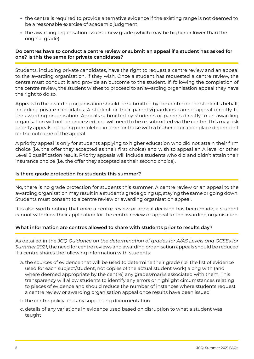- <span id="page-4-0"></span>**•** the centre is required to provide alternative evidence if the existing range is not deemed to be a reasonable exercise of academic judgment
- **•** the awarding organisation issues a new grade (which may be higher or lower than the original grade).

# **Do centres have to conduct a centre review or submit an appeal if a student has asked for one? Is this the same for private candidates?**

Students, including private candidates, have the right to request a centre review and an appeal to the awarding organisation, if they wish. Once a student has requested a centre review, the centre must conduct it and provide an outcome to the student. If, following the completion of the centre review, the student wishes to proceed to an awarding organisation appeal they have the right to do so.

Appeals to the awarding organisation should be submitted by the centre on the student's behalf, including private candidates. A student or their parents/guardians cannot appeal directly to the awarding organisation. Appeals submitted by students or parents directly to an awarding organisation will not be processed and will need to be re-submitted via the centre. This may risk priority appeals not being completed in time for those with a higher education place dependent on the outcome of the appeal.

A priority appeal is only for students applying to higher education who did not attain their firm choice (i.e. the offer they accepted as their first choice) and wish to appeal an A level or other Level 3 qualification result. Priority appeals will include students who did and didn't attain their insurance choice (i.e. the offer they accepted as their second choice).

#### **Is there grade protection for students this summer?**

No, there is no grade protection for students this summer. A centre review or an appeal to the awarding organisation may result in a student's grade going up, staying the same or going down. Students must consent to a centre review or awarding organisation appeal.

It is also worth noting that once a centre review or appeal decision has been made, a student cannot withdraw their application for the centre review or appeal to the awarding organisation.

# **What information are centres allowed to share with students prior to results day?**

As detailed in the *JCQ Guidance on the determination of grades for A/AS Levels and GCSEs for Summer 2021*, the need for centre reviews and awarding organisation appeals should be reduced if a centre shares the following information with students:

- a. the sources of evidence that will be used to determine their grade (i.e. the list of evidence used for each subject/student, not copies of the actual student work) along with (and where deemed appropriate by the centre) any grades/marks associated with them. This transparency will allow students to identify any errors or highlight circumstances relating to pieces of evidence and should reduce the number of instances where students request a centre review or awarding organisation appeal once results have been issued
- b. the centre policy and any supporting documentation
- c. details of any variations in evidence used based on disruption to what a student was taught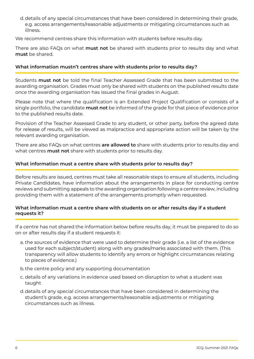<span id="page-5-0"></span>d.details of any special circumstances that have been considered in determining their grade, e.g. access arrangements/reasonable adjustments or mitigating circumstances such as illness.

We recommend centres share this information with students before results day.

There are also FAQs on what **must not** be shared with students prior to results day and what **must** be shared.

# **What information mustn't centres share with students prior to results day?**

Students **must not** be told the final Teacher Assessed Grade that has been submitted to the awarding organisation. Grades must only be shared with students on the published results date once the awarding organisation has issued the final grades in August.

Please note that where the qualification is an Extended Project Qualification or consists of a single portfolio, the candidate **must not** be informed of the grade for that piece of evidence prior to the published results date.

Provision of the Teacher Assessed Grade to any student, or other party, before the agreed date for release of results, will be viewed as malpractice and appropriate action will be taken by the relevant awarding organisation.

There are also FAQs on what centres **are allowed to** share with students prior to results day and what centres **must not** share with students prior to results day.

# **What information must a centre share with students prior to results day?**

Before results are issued, centres must take all reasonable steps to ensure all students, including Private Candidates, have information about the arrangements in place for conducting centre reviews and submitting appeals to the awarding organisation following a centre review, including providing them with a statement of the arrangements promptly when requested.

# **What information must a centre share with students on or after results day if a student requests it?**

If a centre has not shared the information below before results day, it must be prepared to do so on or after results day if a student requests it:

- a. the sources of evidence that were used to determine their grade (i.e. a list of the evidence used for each subject/student) along with any grades/marks associated with them. (This transparency will allow students to identify any errors or highlight circumstances relating to pieces of evidence.)
- b. the centre policy and any supporting documentation
- c. details of any variations in evidence used based on disruption to what a student was taught
- d.details of any special circumstances that have been considered in determining the student's grade, e.g. access arrangements/reasonable adjustments or mitigating circumstances such as illness.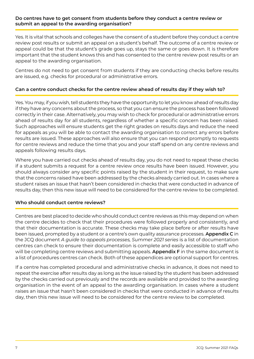### <span id="page-6-0"></span>**Do centres have to get consent from students before they conduct a centre review or submit an appeal to the awarding organisation?**

Yes. It is vital that schools and colleges have the consent of a student before they conduct a centre review post results or submit an appeal on a student's behalf. The outcome of a centre review or appeal could be that the student's grade goes up, stays the same or goes down. It is therefore important that the student knows this and has consented to the centre review post results or an appeal to the awarding organisation.

Centres do not need to get consent from students if they are conducting checks before results are issued, e.g. checks for procedural or administrative errors.

# **Can a centre conduct checks for the centre review ahead of results day if they wish to?**

Yes. You may, if you wish, tell students they have the opportunity to let you know ahead of results day if they have any concerns about the process, so that you can ensure the process has been followed correctly in their case. Alternatively, you may wish to check for procedural or administrative errors ahead of results day for all students, regardless of whether a specific concern has been raised. Such approaches will ensure students get the right grades on results days and reduce the need for appeals as you will be able to contact the awarding organisation to correct any errors before results are issued. These approaches will also ensure that you can respond promptly to requests for centre reviews and reduce the time that you and your staff spend on any centre reviews and appeals following results days.

Where you have carried out checks ahead of results day, you do not need to repeat these checks if a student submits a request for a centre review once results have been issued. However, you should always consider any specific points raised by the student in their request, to make sure that the concerns raised have been addressed by the checks already carried out. In cases where a student raises an issue that hasn't been considered in checks that were conducted in advance of results day, then this new issue will need to be considered for the centre review to be completed.

# **Who should conduct centre reviews?**

Centres are best placed to decide who should conduct centre reviews as this may depend on when the centre decides to check that their procedures were followed properly and consistently, and that their documentation is accurate. These checks may take place before or after results have been issued, prompted by a student or a centre's own quality assurance processes. **Appendix C** in the JCQ document *A guide to appeals processes, Summer 2021 series* is a list of documentation centres can check to ensure their documentation is complete and easily accessible to staff who will be completing centre reviews and submitting appeals. **Appendix F** in the same document is a list of procedures centres can check. Both of these appendices are optional support for centres.

If a centre has completed procedural and administrative checks in advance, it does not need to repeat the exercise after results day as long as the issue raised by the student has been addressed by the checks carried out previously and the records are available and provided to the awarding organisation in the event of an appeal to the awarding organisation. In cases where a student raises an issue that hasn't been considered in checks that were conducted in advance of results day, then this new issue will need to be considered for the centre review to be completed.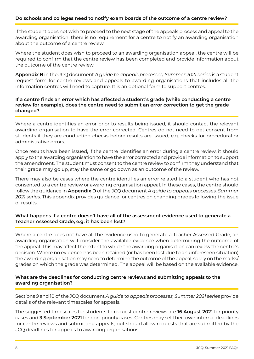# <span id="page-7-0"></span>**Do schools and colleges need to notify exam boards of the outcome of a centre review?**

If the student does not wish to proceed to the next stage of the appeals process and appeal to the awarding organisation, there is no requirement for a centre to notify an awarding organisation about the outcome of a centre review.

Where the student does wish to proceed to an awarding organisation appeal, the centre will be required to confirm that the centre review has been completed and provide information about the outcome of the centre review.

**Appendix B** in the JCQ document *A guide to appeals processes, Summer 2021 series* is a student request form for centre reviews and appeals to awarding organisations that includes all the information centres will need to capture. It is an optional form to support centres.

# **If a centre finds an error which has affected a student's grade (while conducting a centre review for example), does the centre need to submit an error correction to get the grade changed?**

Where a centre identifies an error prior to results being issued, it should contact the relevant awarding organisation to have the error corrected. Centres do not need to get consent from students if they are conducting checks before results are issued, e.g. checks for procedural or administrative errors.

Once results have been issued, if the centre identifies an error during a centre review, it should apply to the awarding organisation to have the error corrected and provide information to support the amendment. The student must consent to the centre review to confirm they understand that their grade may go up, stay the same or go down as an outcome of the review.

There may also be cases where the centre identifies an error related to a student who has not consented to a centre review or awarding organisation appeal. In these cases, the centre should follow the guidance in **Appendix D** of the JCQ document *A guide to appeals processes, Summer 2021 series*. This appendix provides guidance for centres on changing grades following the issue of results.

#### **What happens if a centre doesn't have all of the assessment evidence used to generate a Teacher Assessed Grade, e.g. it has been lost?**

Where a centre does not have all the evidence used to generate a Teacher Assessed Grade, an awarding organisation will consider the available evidence when determining the outcome of the appeal. This may affect the extent to which the awarding organisation can review the centre's decision. Where no evidence has been retained (or has been lost due to an unforeseen situation) the awarding organisation may need to determine the outcome of the appeal, solely on the marks/ grades on which the grade was determined. The appeal will be based on the available evidence.

#### **What are the deadlines for conducting centre reviews and submitting appeals to the awarding organisation?**

Sections 9 and 10 of the JCQ document *A guide to appeals processes, Summer 2021 series* provide details of the relevant timescales for appeals.

The suggested timescales for students to request centre reviews are **16 August 2021** for priority cases and **3 September 2021** for non-priority cases. Centres may set their own internal deadlines for centre reviews and submitting appeals, but should allow requests that are submitted by the JCQ deadlines for appeals to awarding organisations.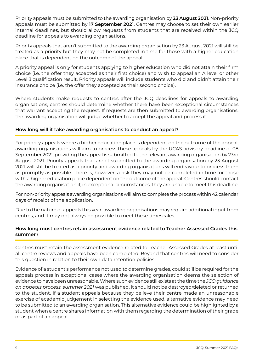<span id="page-8-0"></span>Priority appeals must be submitted to the awarding organisation by **23 August 2021**. Non-priority appeals must be submitted by **17 September 2021**. Centres may choose to set their own earlier internal deadlines, but should allow requests from students that are received within the JCQ deadline for appeals to awarding organisations.

Priority appeals that aren't submitted to the awarding organisation by 23 August 2021 will still be treated as a priority but they may not be completed in time for those with a higher education place that is dependent on the outcome of the appeal.

A priority appeal is only for students applying to higher education who did not attain their firm choice (i.e. the offer they accepted as their first choice) and wish to appeal an A level or other Level 3 qualification result. Priority appeals will include students who did and didn't attain their insurance choice (i.e. the offer they accepted as their second choice).

Where students make requests to centres after the JCQ deadlines for appeals to awarding organisations, centres should determine whether there have been exceptional circumstances that warrant accepting the request. If requests are then submitted to awarding organisations, the awarding organisation will judge whether to accept the appeal and process it.

# **How long will it take awarding organisations to conduct an appeal?**

For priority appeals where a higher education place is dependent on the outcome of the appeal, awarding organisations will aim to process these appeals by the UCAS advisory deadline of 08 September 2021, providing the appeal is submitted to the relevant awarding organisation by 23rd August 2021. Priority appeals that aren't submitted to the awarding organisation by 23 August 2021 will still be treated as a priority and awarding organisations will endeavour to process them as promptly as possible. There is, however, a risk they may not be completed in time for those with a higher education place dependent on the outcome of the appeal. Centres should contact the awarding organisation if, in exceptional circumstances, they are unable to meet this deadline.

For non-priority appeals awarding organisations will aim to complete the process within 42 calendar days of receipt of the application.

Due to the nature of appeals this year, awarding organisations may require additional input from centres, and it may not always be possible to meet these timescales.

#### **How long must centres retain assessment evidence related to Teacher Assessed Grades this summer?**

Centres must retain the assessment evidence related to Teacher Assessed Grades at least until all centre reviews and appeals have been completed. Beyond that centres will need to consider this question in relation to their own data retention policies.

Evidence of a student's performance not used to determine grades, could still be required for the appeals process in exceptional cases where the awarding organisation deems the selection of evidence to have been unreasonable. Where such evidence still exists at the time the *JCQ guidance on appeals process, summer 2021* was published, it should not be destroyed/deleted or returned to the student. If a student appeals because they believe their centre made an unreasonable exercise of academic judgement in selecting the evidence used, alternative evidence may need to be submitted to an awarding organisation. This alternative evidence could be highlighted by a student when a centre shares information with them regarding the determination of their grade or as part of an appeal.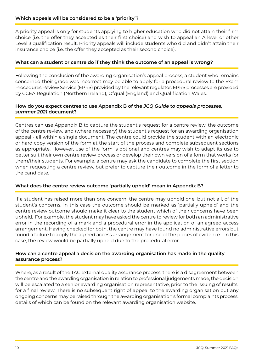# <span id="page-9-0"></span>**Which appeals will be considered to be a 'priority'?**

A priority appeal is only for students applying to higher education who did not attain their firm choice (i.e. the offer they accepted as their first choice) and wish to appeal an A level or other Level 3 qualification result. Priority appeals will include students who did and didn't attain their insurance choice (i.e. the offer they accepted as their second choice).

# **What can a student or centre do if they think the outcome of an appeal is wrong?**

Following the conclusion of the awarding organisation's appeal process, a student who remains concerned their grade was incorrect may be able to apply for a procedural review to the Exam Procedures Review Service (EPRS) provided by the relevant regulator. EPRS processes are provided by CCEA Regulation (Northern Ireland), Ofqual (England) and Qualification Wales.

#### **How do you expect centres to use Appendix B of the** *JCQ Guide to appeals processes, summer 2021* **document?**

Centres can use Appendix B to capture the student's request for a centre review, the outcome of the centre review, and (where necessary) the student's request for an awarding organisation appeal - all within a single document. The centre could provide the student with an electronic or hard copy version of the form at the start of the process and complete subsequent sections as appropriate. However, use of the form is optional and centres may wish to adapt its use to better suit their own centre review process or develop their own version of a form that works for them/their students. For example, a centre may ask the candidate to complete the first section when requesting a centre review, but prefer to capture their outcome in the form of a letter to the candidate.

# **What does the centre review outcome 'partially upheld' mean in Appendix B?**

If a student has raised more than one concern, the centre may uphold one, but not all, of the student's concerns. In this case the outcome should be marked as 'partially upheld' and the centre review outcome should make it clear to the student which of their concerns have been upheld. For example, the student may have asked the centre to review for both an administrative error in the recording of a mark and a procedural error in the application of an agreed access arrangement. Having checked for both, the centre may have found no administrative errors but found a failure to apply the agreed access arrangement for one of the pieces of evidence – in this case, the review would be partially upheld due to the procedural error.

# **How can a centre appeal a decision the awarding organisation has made in the quality assurance process?**

Where, as a result of the TAG external quality assurance process, there is a disagreement between the centre and the awarding organisation in relation to professional judgements made, the decision will be escalated to a senior awarding organisation representative, prior to the issuing of results, for a final review. There is no subsequent right of appeal to the awarding organisation but any ongoing concerns may be raised through the awarding organisation's formal complaints process, details of which can be found on the relevant awarding organisation website.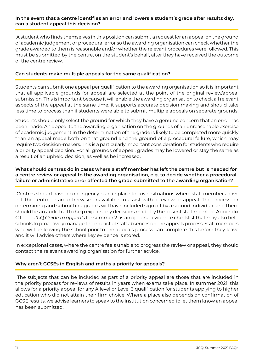#### <span id="page-10-0"></span>**In the event that a centre identifies an error and lowers a student's grade after results day, can a student appeal this decision?**

 A student who finds themselves in this position can submit a request for an appeal on the ground of academic judgement or procedural error so the awarding organisation can check whether the grade awarded to them is reasonable and/or whether the relevant procedures were followed. This must be submitted by the centre, on the student's behalf, after they have received the outcome of the centre review.

### **Can students make multiple appeals for the same qualification?**

Students can submit one appeal per qualification to the awarding organisation so it is important that all applicable grounds for appeal are selected at the point of the original review/appeal submission. This is important because it will enable the awarding organisation to check all relevant aspects of the appeal at the same time, it supports accurate decision making and should take less time to process than if students were able to submit multiple appeals on separate grounds.

Students should only select the ground for which they have a genuine concern that an error has been made. An appeal to the awarding organisation on the grounds of an unreasonable exercise of academic judgement in the determination of the grade is likely to be completed more quickly than an appeal made both on that ground and the ground of a procedural failure, which may require two decision-makers. This is a particularly important consideration for students who require a priority appeal decision. For all grounds of appeal, grades may be lowered or stay the same as a result of an upheld decision, as well as be increased.

# **What should centres do in cases where a staff member has left the centre but is needed for a centre review or appeal to the awarding organisation, e.g. to decide whether a procedural failure or administrative error affected the grade submitted to the awarding organisation?**

 Centres should have a contingency plan in place to cover situations where staff members have left the centre or are otherwise unavailable to assist with a review or appeal. The process for determining and submitting grades will have included sign off by a second individual and there should be an audit trail to help explain any decisions made by the absent staff member. Appendix C to the *JCQ Guide to appeals* for summer 21 is an optional evidence checklist that may also help schools to proactively manage the impact of staff absences on the appeals process. Staff members who will be leaving the school prior to the appeals process can complete this before they leave and it will advise others where key evidence is stored.

In exceptional cases, where the centre feels unable to progress the review or appeal, they should contact the relevant awarding organisation for further advice.

# **Why aren't GCSEs in English and maths a priority for appeals?**

 The subjects that can be included as part of a priority appeal are those that are included in the priority process for reviews of results in years when exams take place. In summer 2021, this allows for a priority appeal for any A level or Level 3 qualification for students applying to higher education who did not attain their firm choice. Where a place also depends on confirmation of GCSE results, we advise learners to speak to the institution concerned to let them know an appeal has been submitted.